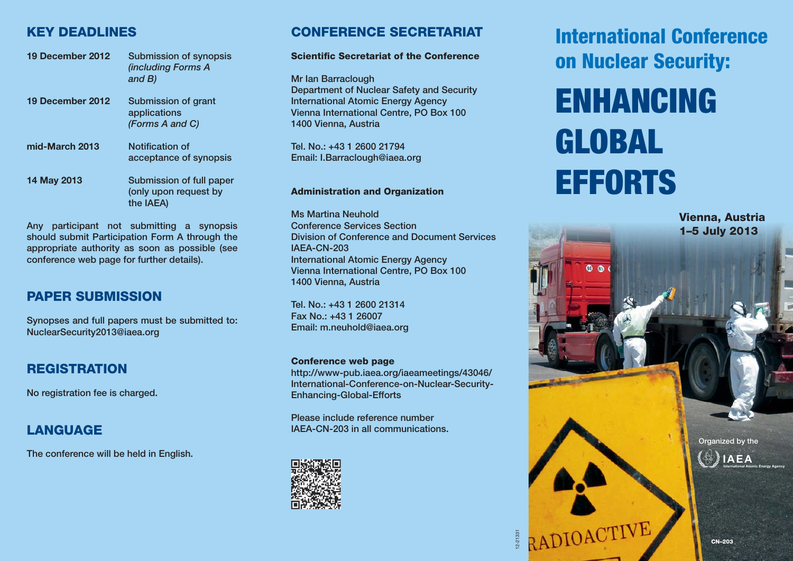# **KEY DEADLINES**

| 19 December 2012   | Submission of synopsis<br><i>(including Forms A</i><br>and $B$ ) |
|--------------------|------------------------------------------------------------------|
| 19 December 2012   | Submission of grant<br>applications<br>(Forms A and C)           |
| mid-March 2013     | Notification of<br>acceptance of synopsis                        |
| <b>14 May 2013</b> | Submission of full paper<br>(only upon request by<br>the IAEA)   |

**Any participant not submitting a synopsis should submit Participation Form A through the appropriate authority as soon as possible (see conference web page for further details).**

# **PAPER SUBMISSION**

**Synopses and full papers must be submitted to: NuclearSecurity2013@iaea.org**

# **REGISTRATION**

**No registration fee is charged.** 

# **LANGUAGE**

**The conference will be held in English.**

# **CONFERENCE SECRETARIAT**

#### **Scientific Secretariat of the Conference**

**Mr Ian Barraclough Department of Nuclear Safety and Security International Atomic Energy Agency Vienna International Centre, PO Box 100 1400 Vienna, Austria**

**Tel. No.: +43 1 2600 21794 Email: I.Barraclough@iaea.org**

#### **Administration and Organization**

**Ms Martina Neuhold Conference Services Section Division of Conference and Document Services IAEA-CN-203 International Atomic Energy Agency Vienna International Centre, PO Box 100 1400 Vienna, Austria**

**Tel. No.: +43 1 2600 21314 Fax No.: +43 1 26007 Email: m.neuhold@iaea.org**

#### **Conference web page**

**http://www-pub.iaea.org/iaeameetings/43046/ International-Conference-on-Nuclear-Security-Enhancing-Global-Efforts**

12-21331

**Please include reference number IAEA-CN-203 in all communications.**



**International Conference on Nuclear Security:**

# **ENHANCING GLOBAL EFFORTS**

**Vienna, Austria 1–5 July 2013**